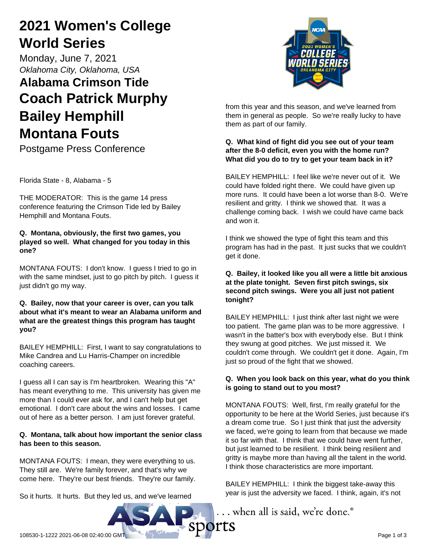# **2021 Women's College World Series**

Monday, June 7, 2021 *Oklahoma City, Oklahoma, USA*

# **Alabama Crimson Tide Coach Patrick Murphy Bailey Hemphill Montana Fouts**

Postgame Press Conference

Florida State - 8, Alabama - 5

THE MODERATOR: This is the game 14 press conference featuring the Crimson Tide led by Bailey Hemphill and Montana Fouts.

### **Q. Montana, obviously, the first two games, you played so well. What changed for you today in this one?**

MONTANA FOUTS: I don't know. I guess I tried to go in with the same mindset, just to go pitch by pitch. I guess it just didn't go my way.

#### **Q. Bailey, now that your career is over, can you talk about what it's meant to wear an Alabama uniform and what are the greatest things this program has taught you?**

BAILEY HEMPHILL: First, I want to say congratulations to Mike Candrea and Lu Harris-Champer on incredible coaching careers.

I guess all I can say is I'm heartbroken. Wearing this "A" has meant everything to me. This university has given me more than I could ever ask for, and I can't help but get emotional. I don't care about the wins and losses. I came out of here as a better person. I am just forever grateful.

### **Q. Montana, talk about how important the senior class has been to this season.**

MONTANA FOUTS: I mean, they were everything to us. They still are. We're family forever, and that's why we come here. They're our best friends. They're our family.

So it hurts. It hurts. But they led us, and we've learned



from this year and this season, and we've learned from them in general as people. So we're really lucky to have them as part of our family.

#### **Q. What kind of fight did you see out of your team after the 8-0 deficit, even you with the home run? What did you do to try to get your team back in it?**

BAILEY HEMPHILL: I feel like we're never out of it. We could have folded right there. We could have given up more runs. It could have been a lot worse than 8-0. We're resilient and gritty. I think we showed that. It was a challenge coming back. I wish we could have came back and won it.

I think we showed the type of fight this team and this program has had in the past. It just sucks that we couldn't get it done.

#### **Q. Bailey, it looked like you all were a little bit anxious at the plate tonight. Seven first pitch swings, six second pitch swings. Were you all just not patient tonight?**

BAILEY HEMPHILL: I just think after last night we were too patient. The game plan was to be more aggressive. I wasn't in the batter's box with everybody else. But I think they swung at good pitches. We just missed it. We couldn't come through. We couldn't get it done. Again, I'm just so proud of the fight that we showed.

## **Q. When you look back on this year, what do you think is going to stand out to you most?**

MONTANA FOUTS: Well, first, I'm really grateful for the opportunity to be here at the World Series, just because it's a dream come true. So I just think that just the adversity we faced, we're going to learn from that because we made it so far with that. I think that we could have went further, but just learned to be resilient. I think being resilient and gritty is maybe more than having all the talent in the world. I think those characteristics are more important.

BAILEY HEMPHILL: I think the biggest take-away this year is just the adversity we faced. I think, again, it's not

... when all is said, we're done.<sup>®</sup>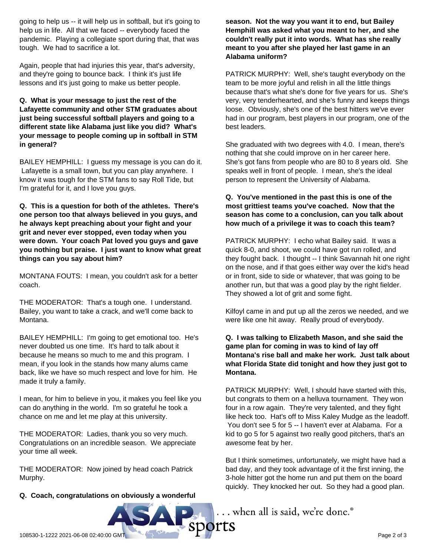going to help us -- it will help us in softball, but it's going to help us in life. All that we faced -- everybody faced the pandemic. Playing a collegiate sport during that, that was tough. We had to sacrifice a lot.

Again, people that had injuries this year, that's adversity, and they're going to bounce back. I think it's just life lessons and it's just going to make us better people.

#### **Q. What is your message to just the rest of the Lafayette community and other STM graduates about just being successful softball players and going to a different state like Alabama just like you did? What's your message to people coming up in softball in STM in general?**

BAILEY HEMPHILL: I guess my message is you can do it. Lafayette is a small town, but you can play anywhere. I know it was tough for the STM fans to say Roll Tide, but I'm grateful for it, and I love you guys.

**Q. This is a question for both of the athletes. There's one person too that always believed in you guys, and he always kept preaching about your fight and your grit and never ever stopped, even today when you were down. Your coach Pat loved you guys and gave you nothing but praise. I just want to know what great things can you say about him?**

MONTANA FOUTS: I mean, you couldn't ask for a better coach.

THE MODERATOR: That's a tough one. I understand. Bailey, you want to take a crack, and we'll come back to Montana.

BAILEY HEMPHILL: I'm going to get emotional too. He's never doubted us one time. It's hard to talk about it because he means so much to me and this program. I mean, if you look in the stands how many alums came back, like we have so much respect and love for him. He made it truly a family.

I mean, for him to believe in you, it makes you feel like you can do anything in the world. I'm so grateful he took a chance on me and let me play at this university.

THE MODERATOR: Ladies, thank you so very much. Congratulations on an incredible season. We appreciate your time all week.

THE MODERATOR: Now joined by head coach Patrick Murphy.

**Q. Coach, congratulations on obviously a wonderful**

**season. Not the way you want it to end, but Bailey Hemphill was asked what you meant to her, and she couldn't really put it into words. What has she really meant to you after she played her last game in an Alabama uniform?**

PATRICK MURPHY: Well, she's taught everybody on the team to be more joyful and relish in all the little things because that's what she's done for five years for us. She's very, very tenderhearted, and she's funny and keeps things loose. Obviously, she's one of the best hitters we've ever had in our program, best players in our program, one of the best leaders.

She graduated with two degrees with 4.0. I mean, there's nothing that she could improve on in her career here. She's got fans from people who are 80 to 8 years old. She speaks well in front of people. I mean, she's the ideal person to represent the University of Alabama.

#### **Q. You've mentioned in the past this is one of the most grittiest teams you've coached. Now that the season has come to a conclusion, can you talk about how much of a privilege it was to coach this team?**

PATRICK MURPHY: I echo what Bailey said. It was a quick 8-0, and shoot, we could have got run rolled, and they fought back. I thought -- I think Savannah hit one right on the nose, and if that goes either way over the kid's head or in front, side to side or whatever, that was going to be another run, but that was a good play by the right fielder. They showed a lot of grit and some fight.

Kilfoyl came in and put up all the zeros we needed, and we were like one hit away. Really proud of everybody.

#### **Q. I was talking to Elizabeth Mason, and she said the game plan for coming in was to kind of lay off Montana's rise ball and make her work. Just talk about what Florida State did tonight and how they just got to Montana.**

PATRICK MURPHY: Well, I should have started with this, but congrats to them on a helluva tournament. They won four in a row again. They're very talented, and they fight like heck too. Hat's off to Miss Kaley Mudge as the leadoff. You don't see 5 for 5 -- I haven't ever at Alabama. For a kid to go 5 for 5 against two really good pitchers, that's an awesome feat by her.

But I think sometimes, unfortunately, we might have had a bad day, and they took advantage of it the first inning, the 3-hole hitter got the home run and put them on the board quickly. They knocked her out. So they had a good plan.

... when all is said, we're done.<sup>®</sup>